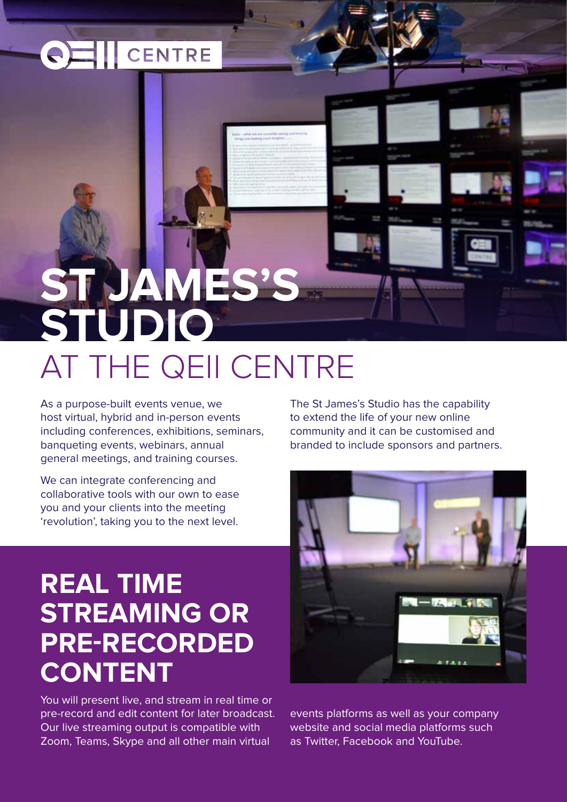# **CENTRE**

# **ST JAMES'S STUDIO** AT THE QEII CENTRE

As a purpose-built events venue, we host virtual, hybrid and in-person events including conferences, exhibitions, seminars, banqueting events, webinars, annual general meetings, and training courses.

We can integrate conferencing and collaborative tools with our own to ease you and your clients into the meeting 'revolution', taking you to the next level.

## **REAL TIME STREAMING OR PRE-RECORDED CONTENT**

You will present live, and stream in real time or pre-record and edit content for later broadcast. Our live streaming output is compatible with Zoom, Teams, Skype and all other main virtual

The St James's Studio has the capability to extend the life of your new online community and it can be customised and branded to include sponsors and partners.



events platforms as well as your company website and social media platforms such as Twitter, Facebook and YouTube.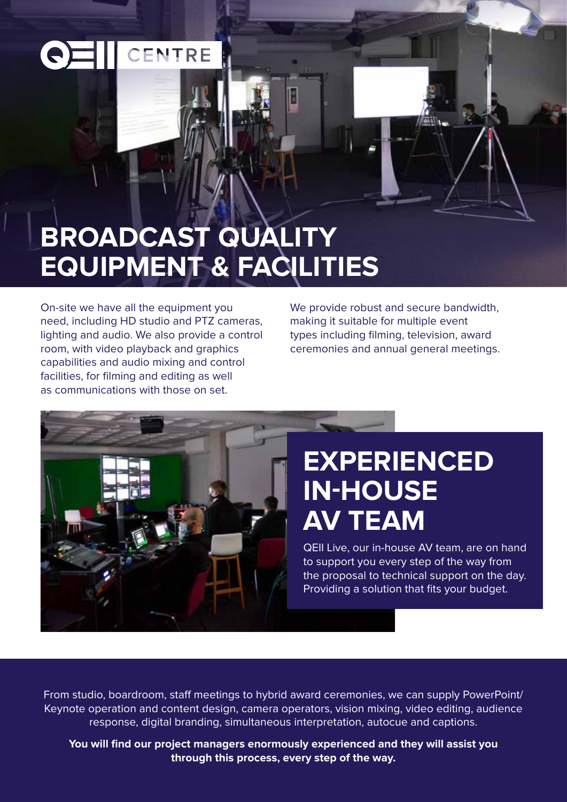# CENTRE

# **BROADCAST QUALITY EQUIPMENT & FACILITIES**

On-site we have all the equipment you need, including HD studio and PTZ cameras, lighting and audio. We also provide a control room, with video playback and graphics capabilities and audio mixing and control facilities, for filming and editing as well as communications with those on set.

We provide robust and secure bandwidth, making it suitable for multiple event types including filming, television, award ceremonies and annual general meetings.



## **EXPERIENCED IN-HOUSE AV TEAM**

QEII Live, our in-house AV team, are on hand to support you every step of the way from the proposal to technical support on the day. Providing a solution that fits your budget.

From studio, boardroom, staff meetings to hybrid award ceremonies, we can supply PowerPoint/ Keynote operation and content design, camera operators, vision mixing, video editing, audience response, digital branding, simultaneous interpretation, autocue and captions.

**You will find our project managers enormously experienced and they will assist you through this process, every step of the way.**